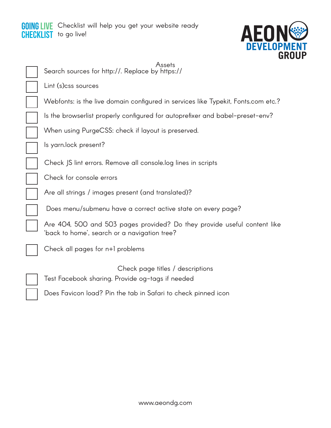



| Search sou              |
|-------------------------|
| Lint (s)css             |
| Webfonts:               |
| Is the brov             |
| When usin               |
| ls yarn.locl            |
| Check JS I              |
| Check for               |
| Are all stri            |
| Does mer                |
| Are 404,<br>'back to ho |
| $\sf Check\ all$        |

Assets Irces for http://. Replace by https://

sources

is the live domain configured in services like Typekit, Fonts.com etc.?

vserlist properly configured for autoprefixer and babel-preset-env?

 $log$  PurgeCSS: check if layout is preserved.

k present?

lint errors. Remove all console.log lines in scripts

console errors

ngs / images present (and translated)?

nu/submenu have a correct active state on every page?

500 and 503 pages provided? Do they provide useful content like ome', search or a navigation tree?

pages for n+1 problems

Check page titles / descriptions

Test Facebook sharing. Provide og-tags if needed

Does Favicon load? Pin the tab in Safari to check pinned icon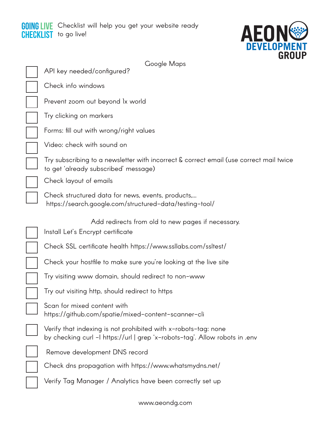## GOING LIVE **CHECKLIST** Checklist will help you get your website ready to go live!



| Google Maps                                                                                                                                   |
|-----------------------------------------------------------------------------------------------------------------------------------------------|
| API key needed/configured?                                                                                                                    |
| Check info windows                                                                                                                            |
| Prevent zoom out beyond 1x world                                                                                                              |
| Try clicking on markers                                                                                                                       |
| Forms: fill out with wrong/right values                                                                                                       |
| Video: check with sound on                                                                                                                    |
| Try subscribing to a newsletter with incorrect & correct email (use correct mail twice<br>to get 'already subscribed' message)                |
| Check layout of emails                                                                                                                        |
| Check structured data for news, events, products,<br>https://search.google.com/structured-data/testing-tool/                                  |
| Add redirects from old to new pages if necessary.<br>Install Let's Encrypt certificate                                                        |
| Check SSL certificate health https://www.ssllabs.com/ssltest/                                                                                 |
| Check your hostfile to make sure you're looking at the live site                                                                              |
| Try visiting www domain, should redirect to non-www                                                                                           |
| Try out visiting http, should redirect to https                                                                                               |
| Scan for mixed content with<br>https://github.com/spatie/mixed-content-scanner-cli                                                            |
| Verify that indexing is not prohibited with x-robots-tag: none<br>by checking curl -I https://url   grep 'x-robots-tag'. Allow robots in .env |
| Remove development DNS record                                                                                                                 |
| Check dns propagation with https://www.whatsmydns.net/                                                                                        |
| Verify Tag Manager / Analytics have been correctly set up                                                                                     |